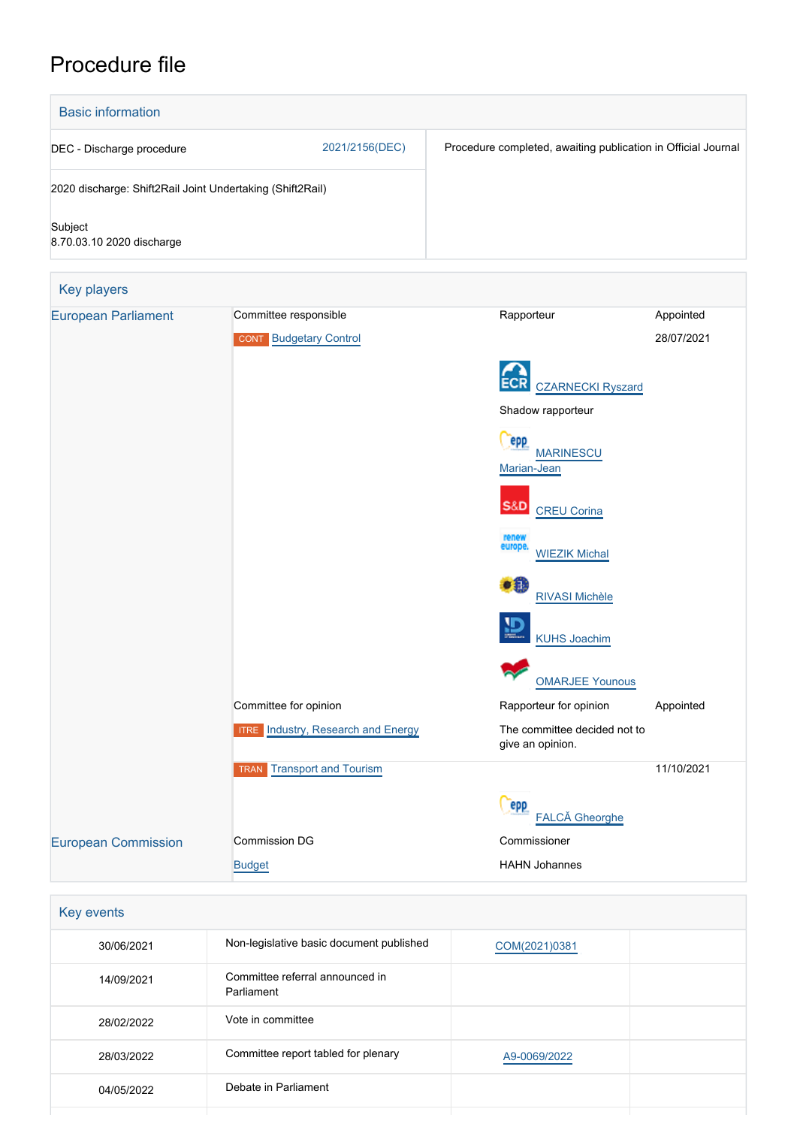# Procedure file



| Key events |                                               |               |  |
|------------|-----------------------------------------------|---------------|--|
| 30/06/2021 | Non-legislative basic document published      | COM(2021)0381 |  |
| 14/09/2021 | Committee referral announced in<br>Parliament |               |  |
| 28/02/2022 | Vote in committee                             |               |  |
| 28/03/2022 | Committee report tabled for plenary           | A9-0069/2022  |  |
| 04/05/2022 | Debate in Parliament                          |               |  |
|            |                                               |               |  |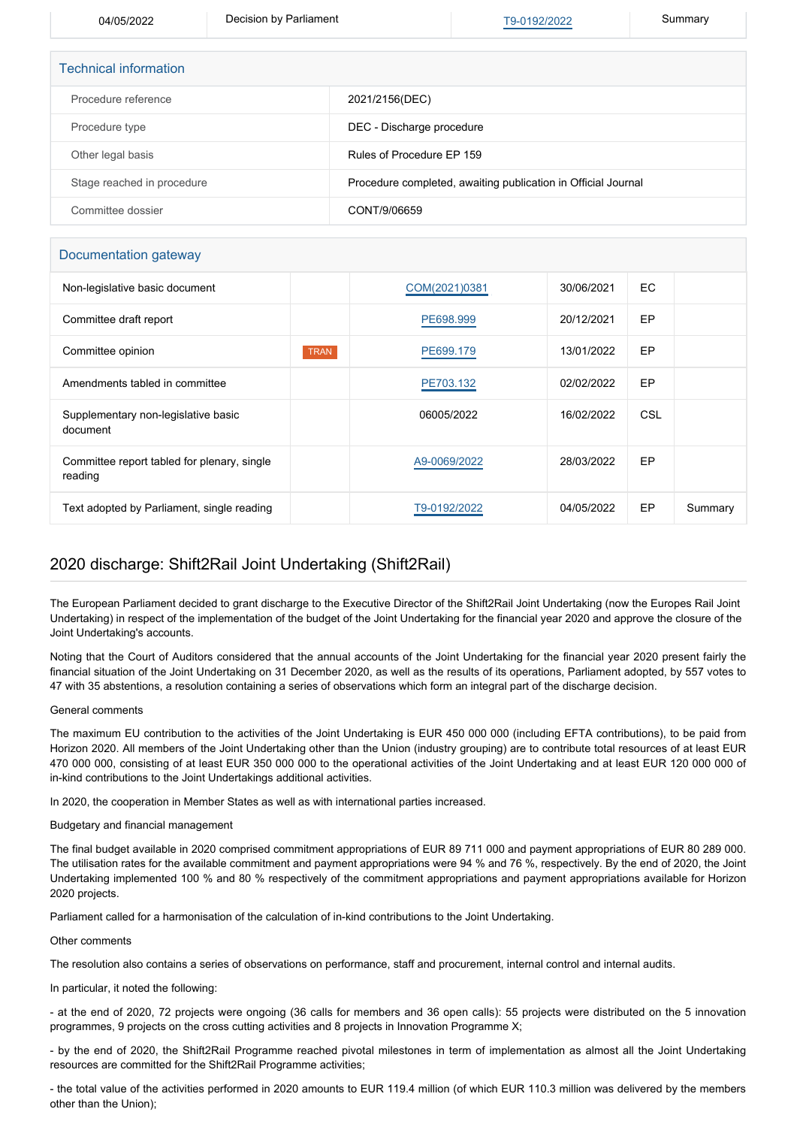04/05/2022 Decision by Parliament [T9-0192/2022](https://www.europarl.europa.eu/doceo/document/TA-9-2022-0192_EN.html) Summary

| <b>Technical information</b> |                                                               |
|------------------------------|---------------------------------------------------------------|
| Procedure reference          | 2021/2156(DEC)                                                |
| Procedure type               | DEC - Discharge procedure                                     |
| Other legal basis            | Rules of Procedure EP 159                                     |
| Stage reached in procedure   | Procedure completed, awaiting publication in Official Journal |
| Committee dossier            | CONT/9/06659                                                  |

### Documentation gateway

| Non-legislative basic document                         |             | COM(2021)0381 | 30/06/2021 | EC.        |         |
|--------------------------------------------------------|-------------|---------------|------------|------------|---------|
| Committee draft report                                 |             | PE698.999     | 20/12/2021 | EP         |         |
| Committee opinion                                      | <b>TRAN</b> | PE699.179     | 13/01/2022 | EP         |         |
| Amendments tabled in committee                         |             | PE703.132     | 02/02/2022 | EP         |         |
| Supplementary non-legislative basic<br>document        |             | 06005/2022    | 16/02/2022 | <b>CSL</b> |         |
| Committee report tabled for plenary, single<br>reading |             | A9-0069/2022  | 28/03/2022 | EP         |         |
| Text adopted by Parliament, single reading             |             | T9-0192/2022  | 04/05/2022 | EP         | Summary |

## 2020 discharge: Shift2Rail Joint Undertaking (Shift2Rail)

The European Parliament decided to grant discharge to the Executive Director of the Shift2Rail Joint Undertaking (now the Europes Rail Joint Undertaking) in respect of the implementation of the budget of the Joint Undertaking for the financial year 2020 and approve the closure of the Joint Undertaking's accounts.

Noting that the Court of Auditors considered that the annual accounts of the Joint Undertaking for the financial year 2020 present fairly the financial situation of the Joint Undertaking on 31 December 2020, as well as the results of its operations, Parliament adopted, by 557 votes to 47 with 35 abstentions, a resolution containing a series of observations which form an integral part of the discharge decision.

### General comments

The maximum EU contribution to the activities of the Joint Undertaking is EUR 450 000 000 (including EFTA contributions), to be paid from Horizon 2020. All members of the Joint Undertaking other than the Union (industry grouping) are to contribute total resources of at least EUR 470 000 000, consisting of at least EUR 350 000 000 to the operational activities of the Joint Undertaking and at least EUR 120 000 000 of in-kind contributions to the Joint Undertakings additional activities.

In 2020, the cooperation in Member States as well as with international parties increased.

### Budgetary and financial management

The final budget available in 2020 comprised commitment appropriations of EUR 89 711 000 and payment appropriations of EUR 80 289 000. The utilisation rates for the available commitment and payment appropriations were 94 % and 76 %, respectively. By the end of 2020, the Joint Undertaking implemented 100 % and 80 % respectively of the commitment appropriations and payment appropriations available for Horizon 2020 projects.

Parliament called for a harmonisation of the calculation of in-kind contributions to the Joint Undertaking.

Other comments

The resolution also contains a series of observations on performance, staff and procurement, internal control and internal audits.

In particular, it noted the following:

- at the end of 2020, 72 projects were ongoing (36 calls for members and 36 open calls): 55 projects were distributed on the 5 innovation programmes, 9 projects on the cross cutting activities and 8 projects in Innovation Programme X;

- by the end of 2020, the Shift2Rail Programme reached pivotal milestones in term of implementation as almost all the Joint Undertaking resources are committed for the Shift2Rail Programme activities;

- the total value of the activities performed in 2020 amounts to EUR 119.4 million (of which EUR 110.3 million was delivered by the members other than the Union);